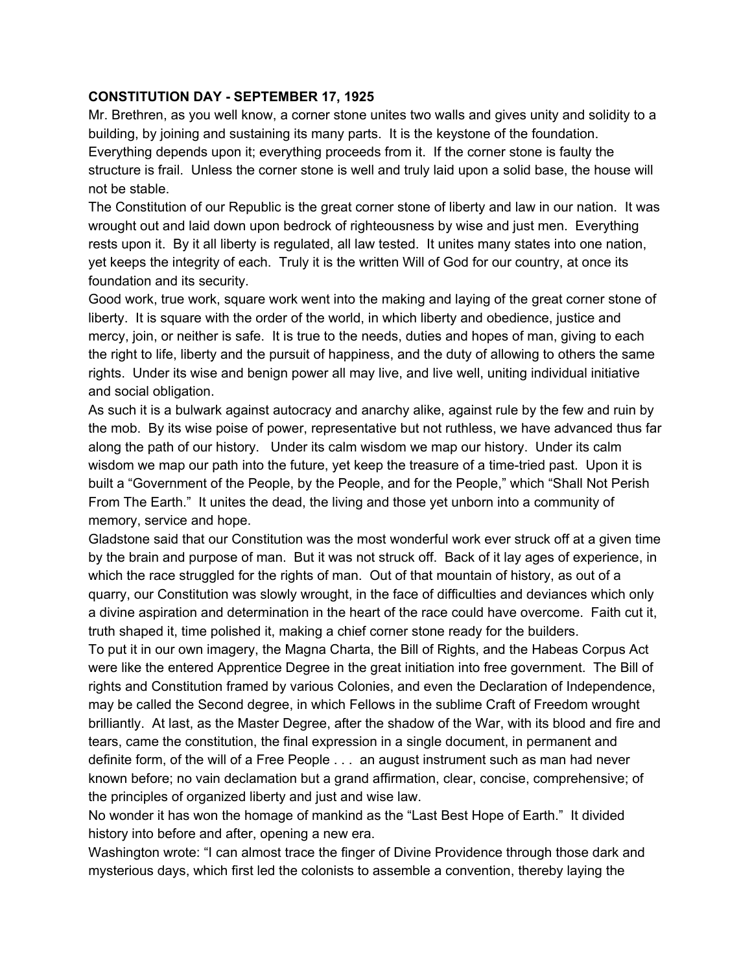## **CONSTITUTION DAY - SEPTEMBER 17, 1925**

Mr. Brethren, as you well know, a corner stone unites two walls and gives unity and solidity to a building, by joining and sustaining its many parts. It is the keystone of the foundation. Everything depends upon it; everything proceeds from it. If the corner stone is faulty the structure is frail. Unless the corner stone is well and truly laid upon a solid base, the house will not be stable.

The Constitution of our Republic is the great corner stone of liberty and law in our nation. It was wrought out and laid down upon bedrock of righteousness by wise and just men. Everything rests upon it. By it all liberty is regulated, all law tested. It unites many states into one nation, yet keeps the integrity of each. Truly it is the written Will of God for our country, at once its foundation and its security.

Good work, true work, square work went into the making and laying of the great corner stone of liberty. It is square with the order of the world, in which liberty and obedience, justice and mercy, join, or neither is safe. It is true to the needs, duties and hopes of man, giving to each the right to life, liberty and the pursuit of happiness, and the duty of allowing to others the same rights. Under its wise and benign power all may live, and live well, uniting individual initiative and social obligation.

As such it is a bulwark against autocracy and anarchy alike, against rule by the few and ruin by the mob. By its wise poise of power, representative but not ruthless, we have advanced thus far along the path of our history. Under its calm wisdom we map our history. Under its calm wisdom we map our path into the future, yet keep the treasure of a time-tried past. Upon it is built a "Government of the People, by the People, and for the People," which "Shall Not Perish From The Earth." It unites the dead, the living and those yet unborn into a community of memory, service and hope.

Gladstone said that our Constitution was the most wonderful work ever struck off at a given time by the brain and purpose of man. But it was not struck off. Back of it lay ages of experience, in which the race struggled for the rights of man. Out of that mountain of history, as out of a quarry, our Constitution was slowly wrought, in the face of difficulties and deviances which only a divine aspiration and determination in the heart of the race could have overcome. Faith cut it, truth shaped it, time polished it, making a chief corner stone ready for the builders.

To put it in our own imagery, the Magna Charta, the Bill of Rights, and the Habeas Corpus Act were like the entered Apprentice Degree in the great initiation into free government. The Bill of rights and Constitution framed by various Colonies, and even the Declaration of Independence, may be called the Second degree, in which Fellows in the sublime Craft of Freedom wrought brilliantly. At last, as the Master Degree, after the shadow of the War, with its blood and fire and tears, came the constitution, the final expression in a single document, in permanent and definite form, of the will of a Free People . . . an august instrument such as man had never known before; no vain declamation but a grand affirmation, clear, concise, comprehensive; of the principles of organized liberty and just and wise law.

No wonder it has won the homage of mankind as the "Last Best Hope of Earth." It divided history into before and after, opening a new era.

Washington wrote: "I can almost trace the finger of Divine Providence through those dark and mysterious days, which first led the colonists to assemble a convention, thereby laying the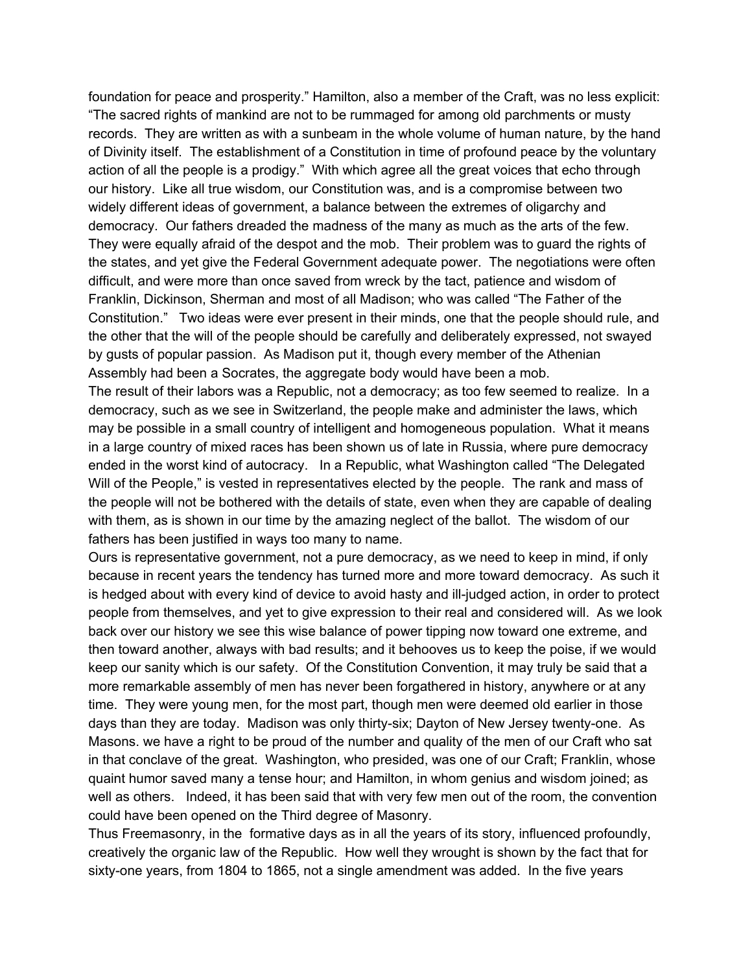foundation for peace and prosperity." Hamilton, also a member of the Craft, was no less explicit: "The sacred rights of mankind are not to be rummaged for among old parchments or musty records. They are written as with a sunbeam in the whole volume of human nature, by the hand of Divinity itself. The establishment of a Constitution in time of profound peace by the voluntary action of all the people is a prodigy." With which agree all the great voices that echo through our history. Like all true wisdom, our Constitution was, and is a compromise between two widely different ideas of government, a balance between the extremes of oligarchy and democracy. Our fathers dreaded the madness of the many as much as the arts of the few. They were equally afraid of the despot and the mob. Their problem was to guard the rights of the states, and yet give the Federal Government adequate power. The negotiations were often difficult, and were more than once saved from wreck by the tact, patience and wisdom of Franklin, Dickinson, Sherman and most of all Madison; who was called "The Father of the Constitution." Two ideas were ever present in their minds, one that the people should rule, and the other that the will of the people should be carefully and deliberately expressed, not swayed by gusts of popular passion. As Madison put it, though every member of the Athenian Assembly had been a Socrates, the aggregate body would have been a mob.

The result of their labors was a Republic, not a democracy; as too few seemed to realize. In a democracy, such as we see in Switzerland, the people make and administer the laws, which may be possible in a small country of intelligent and homogeneous population. What it means in a large country of mixed races has been shown us of late in Russia, where pure democracy ended in the worst kind of autocracy. In a Republic, what Washington called "The Delegated Will of the People," is vested in representatives elected by the people. The rank and mass of the people will not be bothered with the details of state, even when they are capable of dealing with them, as is shown in our time by the amazing neglect of the ballot. The wisdom of our fathers has been justified in ways too many to name.

Ours is representative government, not a pure democracy, as we need to keep in mind, if only because in recent years the tendency has turned more and more toward democracy. As such it is hedged about with every kind of device to avoid hasty and ill-judged action, in order to protect people from themselves, and yet to give expression to their real and considered will. As we look back over our history we see this wise balance of power tipping now toward one extreme, and then toward another, always with bad results; and it behooves us to keep the poise, if we would keep our sanity which is our safety. Of the Constitution Convention, it may truly be said that a more remarkable assembly of men has never been forgathered in history, anywhere or at any time. They were young men, for the most part, though men were deemed old earlier in those days than they are today. Madison was only thirty-six; Dayton of New Jersey twenty-one. As Masons. we have a right to be proud of the number and quality of the men of our Craft who sat in that conclave of the great. Washington, who presided, was one of our Craft; Franklin, whose quaint humor saved many a tense hour; and Hamilton, in whom genius and wisdom joined; as well as others. Indeed, it has been said that with very few men out of the room, the convention could have been opened on the Third degree of Masonry.

Thus Freemasonry, in the formative days as in all the years of its story, influenced profoundly, creatively the organic law of the Republic. How well they wrought is shown by the fact that for sixty-one years, from 1804 to 1865, not a single amendment was added. In the five years